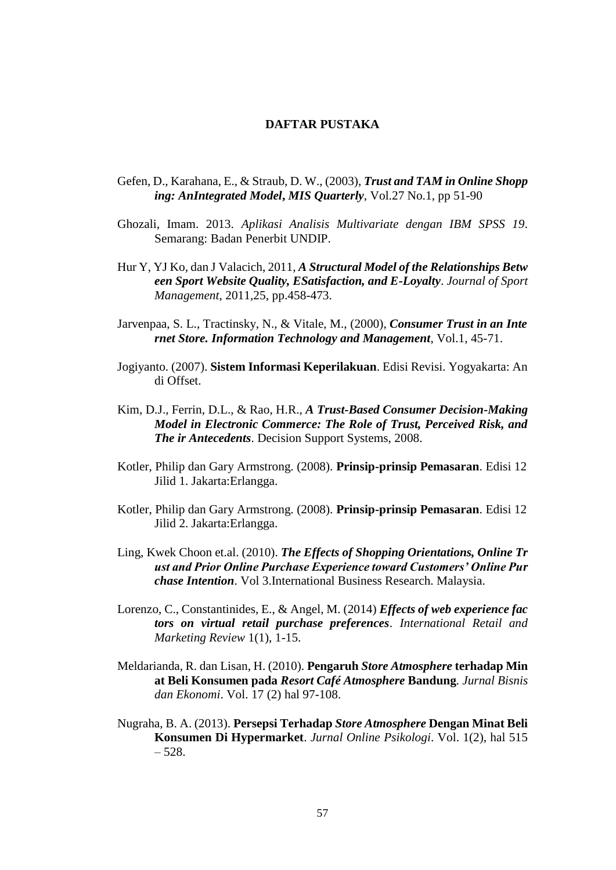## **DAFTAR PUSTAKA**

- Gefen, D., Karahana, E., & Straub, D. W., (2003), *Trust and TAM in Online Shopp ing: AnIntegrated Model***,** *MIS Quarterly*, Vol.27 No.1, pp 51-90
- Ghozali, Imam. 2013. *Aplikasi Analisis Multivariate dengan IBM SPSS 19*. Semarang: Badan Penerbit UNDIP.
- Hur Y, YJ Ko, dan J Valacich, 2011, *A Structural Model of the Relationships Betw een Sport Website Quality, ESatisfaction, and E-Loyalty*. *Journal of Sport Management*, 2011,25, pp.458-473.
- Jarvenpaa, S. L., Tractinsky, N., & Vitale, M., (2000), *Consumer Trust in an Inte rnet Store. Information Technology and Management*, Vol.1, 45-71.
- Jogiyanto. (2007). **Sistem Informasi Keperilakuan**. Edisi Revisi. Yogyakarta: An di Offset.
- Kim, D.J., Ferrin, D.L., & Rao, H.R., *A Trust-Based Consumer Decision-Making Model in Electronic Commerce: The Role of Trust, Perceived Risk, and The ir Antecedents*. Decision Support Systems, 2008.
- Kotler, Philip dan Gary Armstrong. (2008). **Prinsip-prinsip Pemasaran**. Edisi 12 Jilid 1. Jakarta:Erlangga.
- Kotler, Philip dan Gary Armstrong. (2008). **Prinsip-prinsip Pemasaran**. Edisi 12 Jilid 2. Jakarta:Erlangga.
- Ling, Kwek Choon et.al. (2010). *The Effects of Shopping Orientations, Online Tr ust and Prior Online Purchase Experience toward Customers' Online Pur chase Intention*. Vol 3.International Business Research. Malaysia.
- Lorenzo, C., Constantinides, E., & Angel, M. (2014) *Effects of web experience fac tors on virtual retail purchase preferences*. *International Retail and Marketing Review* 1(1), 1-15.
- Meldarianda, R. dan Lisan, H. (2010). **Pengaruh** *Store Atmosphere* **terhadap Min at Beli Konsumen pada** *Resort Café Atmosphere* **Bandung***. Jurnal Bisnis dan Ekonomi*. Vol. 17 (2) hal 97-108.
- Nugraha, B. A. (2013). **Persepsi Terhadap** *Store Atmosphere* **Dengan Minat Beli Konsumen Di Hypermarket**. *Jurnal Online Psikologi*. Vol. 1(2), hal 515 – 528.